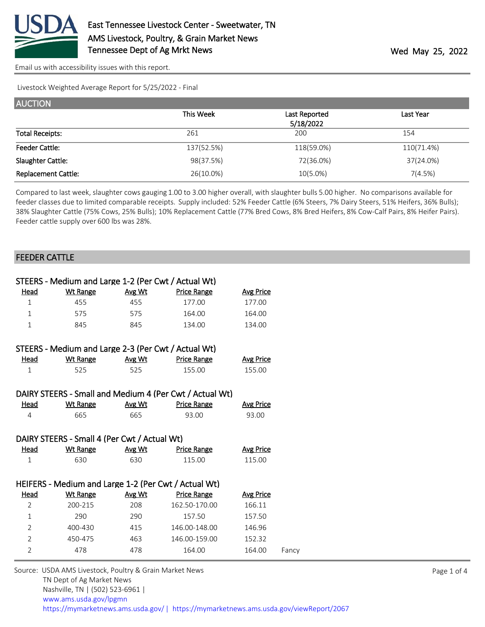

Livestock Weighted Average Report for 5/25/2022 - Final

| <b>AUCTION</b>             |            |               |            |
|----------------------------|------------|---------------|------------|
|                            | This Week  | Last Reported | Last Year  |
|                            |            | 5/18/2022     |            |
| <b>Total Receipts:</b>     | 261        | 200           | 154        |
| <b>Feeder Cattle:</b>      | 137(52.5%) | 118(59.0%)    | 110(71.4%) |
| Slaughter Cattle:          | 98(37.5%)  | 72(36.0%)     | 37(24.0%)  |
| <b>Replacement Cattle:</b> | 26(10.0%)  | $10(5.0\%)$   | 7(4.5%)    |

Compared to last week, slaughter cows gauging 1.00 to 3.00 higher overall, with slaughter bulls 5.00 higher. No comparisons available for feeder classes due to limited comparable receipts. Supply included: 52% Feeder Cattle (6% Steers, 7% Dairy Steers, 51% Heifers, 36% Bulls); 38% Slaughter Cattle (75% Cows, 25% Bulls); 10% Replacement Cattle (77% Bred Cows, 8% Bred Heifers, 8% Cow-Calf Pairs, 8% Heifer Pairs). Feeder cattle supply over 600 lbs was 28%.

## FEEDER CATTLE

|                | STEERS - Medium and Large 1-2 (Per Cwt / Actual Wt) |        |                                                         |                  |       |
|----------------|-----------------------------------------------------|--------|---------------------------------------------------------|------------------|-------|
| Head           | Wt Range                                            | Avg Wt | <b>Price Range</b>                                      | <b>Avg Price</b> |       |
| $\mathbf{1}$   | 455                                                 | 455    | 177.00                                                  | 177.00           |       |
| $\mathbf{1}$   | 575                                                 | 575    | 164.00                                                  | 164.00           |       |
| $\mathbf{1}$   | 845                                                 | 845    | 134.00                                                  | 134.00           |       |
|                |                                                     |        |                                                         |                  |       |
|                | STEERS - Medium and Large 2-3 (Per Cwt / Actual Wt) |        |                                                         |                  |       |
| <u>Head</u>    | <b>Wt Range</b>                                     | Avg Wt | Price Range                                             | <b>Avg Price</b> |       |
| $\mathbf{1}$   | 525                                                 | 525    | 155.00                                                  | 155.00           |       |
|                |                                                     |        |                                                         |                  |       |
|                |                                                     |        | DAIRY STEERS - Small and Medium 4 (Per Cwt / Actual Wt) |                  |       |
| Head           | Wt Range                                            | Avg Wt | <b>Price Range</b>                                      | <b>Avg Price</b> |       |
| $\overline{4}$ | 665                                                 | 665    | 93.00                                                   | 93.00            |       |
|                |                                                     |        |                                                         |                  |       |
|                | DAIRY STEERS - Small 4 (Per Cwt / Actual Wt)        |        |                                                         |                  |       |
| <b>Head</b>    | <b>Wt Range</b>                                     | Avg Wt | <b>Price Range</b>                                      | <b>Avg Price</b> |       |
| $\mathbf{1}$   | 630                                                 | 630    | 115.00                                                  | 115.00           |       |
|                |                                                     |        |                                                         |                  |       |
|                |                                                     |        | HEIFERS - Medium and Large 1-2 (Per Cwt / Actual Wt)    |                  |       |
| <b>Head</b>    | <b>Wt Range</b>                                     | Avg Wt | <b>Price Range</b>                                      | <b>Avg Price</b> |       |
| $\overline{2}$ | 200-215                                             | 208    | 162.50-170.00                                           | 166.11           |       |
| $\mathbf{1}$   | 290                                                 | 290    | 157.50                                                  | 157.50           |       |
| $\overline{2}$ | 400-430                                             | 415    | 146.00-148.00                                           | 146.96           |       |
| $\overline{2}$ | 450-475                                             | 463    | 146.00-159.00                                           | 152.32           |       |
| $\overline{2}$ | 478                                                 | 478    | 164.00                                                  | 164.00           | Fancy |
|                |                                                     |        |                                                         |                  |       |

Source: USDA AMS Livestock, Poultry & Grain Market News TN Dept of Ag Market News Nashville, TN | (502) 523-6961 | [www.ams.usda.gov/lpgmn](https://www.ams.usda.gov/market-news) <https://mymarketnews.ams.usda.gov/> [|](https://www.ams.usda.gov/market-news) <https://mymarketnews.ams.usda.gov/viewReport/2067>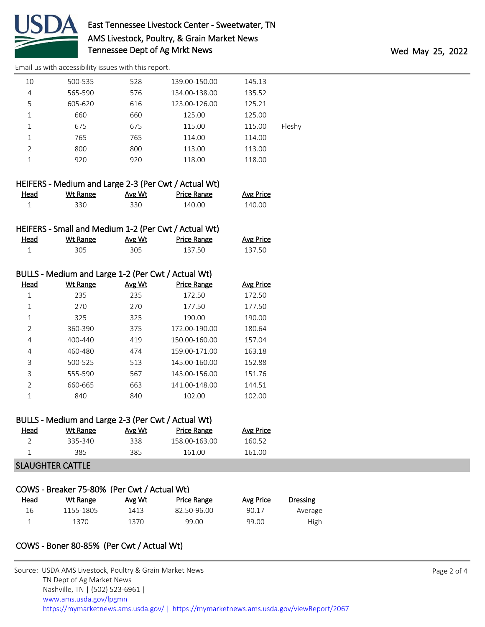

| 10 | 500-535 | 528 | 139.00-150.00 | 145.13 |        |
|----|---------|-----|---------------|--------|--------|
| 4  | 565-590 | 576 | 134.00-138.00 | 135.52 |        |
| 5  | 605-620 | 616 | 123.00-126.00 | 125.21 |        |
| 1  | 660     | 660 | 125.00        | 125.00 |        |
| 1  | 675     | 675 | 115.00        | 115.00 | Fleshy |
| 1  | 765     | 765 | 114.00        | 114.00 |        |
| 2  | 800     | 800 | 113.00        | 113.00 |        |
| 1  | 920     | 920 | 118.00        | 118.00 |        |
|    |         |     |               |        |        |

|             | HEIFERS - Medium and Large 2-3 (Per Cwt / Actual Wt) |        |             |                  |
|-------------|------------------------------------------------------|--------|-------------|------------------|
| <u>Head</u> | Wt Range                                             | Avg Wt | Price Range | <b>Avg Price</b> |
|             | 330.                                                 | 330.   | 140.00      | 140.00           |

|      |          |        | HEIFERS - Small and Medium 1-2 (Per Cwt / Actual Wt) |                  |
|------|----------|--------|------------------------------------------------------|------------------|
| Head | Wt Range | Avg Wt | Price Range                                          | <b>Avg Price</b> |
|      | 305.     | 305    | 137.50                                               | 137.50           |

|               | BULLS - Medium and Large 1-2 (Per Cwt / Actual Wt) |               |                    |                  |
|---------------|----------------------------------------------------|---------------|--------------------|------------------|
| Head          | <b>Wt Range</b>                                    | <b>Avg Wt</b> | <b>Price Range</b> | <b>Avg Price</b> |
| 1             | 235                                                | 235           | 172.50             | 172.50           |
| 1             | 270                                                | 270           | 177.50             | 177.50           |
| 1             | 325                                                | 325           | 190.00             | 190.00           |
| 2             | 360-390                                            | 375           | 172.00-190.00      | 180.64           |
| 4             | 400-440                                            | 419           | 150.00-160.00      | 157.04           |
| 4             | 460-480                                            | 474           | 159.00-171.00      | 163.18           |
| 3             | 500-525                                            | 513           | 145.00-160.00      | 152.88           |
| 3             | 555-590                                            | 567           | 145.00-156.00      | 151.76           |
| $\mathcal{P}$ | 660-665                                            | 663           | 141.00-148.00      | 144.51           |
|               | 840                                                | 840           | 102.00             | 102.00           |

|      | BULLS - Medium and Large 2-3 (Per Cwt / Actual Wt) |        |                    |           |
|------|----------------------------------------------------|--------|--------------------|-----------|
| Head | Wt Range                                           | Avg Wt | <b>Price Range</b> | Avg Price |
| ⊇    | 335-340                                            | 338    | 158.00-163.00      | 160.52    |
|      | 385                                                | 385    | 161.00             | 161.00    |

## SLAUGHTER CATTLE

|      | COWS - Breaker 75-80% (Per Cwt / Actual Wt) |        |             |           |          |
|------|---------------------------------------------|--------|-------------|-----------|----------|
| Head | Wt Range                                    | Avg Wt | Price Range | Avg Price | Dressing |
| 16   | 1155-1805                                   | 1413   | 82.50-96.00 | 90.17     | Average  |
|      | 1370                                        | 1370   | 99.00       | 99.00     | High     |

## COWS - Boner 80-85% (Per Cwt / Actual Wt)

| Source: USDA AMS Livestock, Poultry & Grain Market News                                |
|----------------------------------------------------------------------------------------|
| TN Dept of Ag Market News                                                              |
| Nashville, TN   (502) 523-6961                                                         |
| www.ams.usda.gov/lpgmn                                                                 |
| https://mymarketnews.ams.usda.gov/   https://mymarketnews.ams.usda.gov/viewReport/2067 |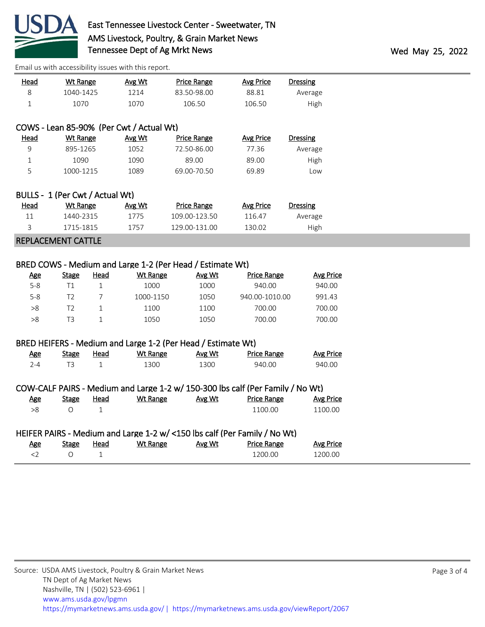

| <b>Head</b>                     | <b>Wt Range</b>           |                | Avg Wt                                   | <b>Price Range</b>                                           | <b>Avg Price</b>   | <b>Dressing</b>  |
|---------------------------------|---------------------------|----------------|------------------------------------------|--------------------------------------------------------------|--------------------|------------------|
| 8                               | 1040-1425                 |                | 1214                                     | 83.50-98.00                                                  | 88.81              | Average          |
| $1\,$                           | 1070                      |                | 1070                                     | 106.50                                                       | 106.50             | High             |
|                                 |                           |                |                                          |                                                              |                    |                  |
|                                 |                           |                | COWS - Lean 85-90% (Per Cwt / Actual Wt) |                                                              |                    |                  |
| <b>Head</b>                     | <b>Wt Range</b>           |                | Avg Wt                                   | <b>Price Range</b>                                           | <b>Avg Price</b>   | <b>Dressing</b>  |
| 9                               | 895-1265                  |                | 1052                                     | 72.50-86.00                                                  | 77.36              | Average          |
| $\mathbf 1$                     | 1090                      |                | 1090                                     | 89.00                                                        | 89.00              | High             |
| 5                               | 1000-1215                 |                | 1089                                     | 69.00-70.50                                                  | 69.89              | Low              |
|                                 |                           |                |                                          |                                                              |                    |                  |
| BULLS - 1 (Per Cwt / Actual Wt) |                           |                |                                          |                                                              |                    |                  |
| <b>Head</b>                     | <u>Wt Range</u>           |                | Avg Wt                                   | <b>Price Range</b>                                           | <b>Avg Price</b>   | <b>Dressing</b>  |
| 11                              | 1440-2315                 |                | 1775                                     | 109.00-123.50                                                | 116.47             | Average          |
| 3                               | 1715-1815                 |                | 1757                                     | 129.00-131.00                                                | 130.02             | High             |
|                                 | <b>REPLACEMENT CATTLE</b> |                |                                          |                                                              |                    |                  |
|                                 |                           |                |                                          |                                                              |                    |                  |
|                                 |                           |                |                                          | BRED COWS - Medium and Large 1-2 (Per Head / Estimate Wt)    |                    |                  |
| <u>Age</u>                      | <b>Stage</b>              | <b>Head</b>    | Wt Range                                 | Avg Wt                                                       | <b>Price Range</b> | <b>Avg Price</b> |
| $5 - 8$                         | T1                        | $\mathbf{1}$   | 1000                                     | 1000                                                         | 940.00             | 940.00           |
| $5 - 8$                         | T <sub>2</sub>            | $\overline{7}$ | 1000-1150                                | 1050                                                         | 940.00-1010.00     | 991.43           |
| >8                              | T <sub>2</sub>            | $\mathbf 1$    | 1100                                     | 1100                                                         | 700.00             | 700.00           |
| $>\!\!8$                        | T <sub>3</sub>            | $\mathbf{1}$   | 1050                                     | 1050                                                         | 700.00             | 700.00           |
|                                 |                           |                |                                          |                                                              |                    |                  |
|                                 |                           |                |                                          | BRED HEIFERS - Medium and Large 1-2 (Per Head / Estimate Wt) |                    |                  |
| <b>Age</b>                      | <b>Stage</b>              | <b>Head</b>    | <b>Wt Range</b>                          | Avg Wt                                                       | <b>Price Range</b> | <b>Avg Price</b> |
| $2 - 4$                         | T <sub>3</sub>            | $\mathbf{1}$   | 1300                                     | 1300                                                         | 940.00             | 940.00           |
|                                 |                           |                |                                          |                                                              |                    |                  |
|                                 |                           |                |                                          |                                                              |                    |                  |

COW-CALF PAIRS - Medium and Large 1-2 w/ 150-300 lbs calf (Per Family / No Wt)

HEIFER PAIRS - Medium and Large 1-2 w/ <150 lbs calf (Per Family / No Wt)

Age Stage Head Wt Range Avg Wt Price Range Avg Price >8 O 1 1100.00 1100.00

Age Stage Head Wt Range Avg Wt Price Range Avg Price  $\begin{array}{cccc} \text{2} & 0 & 1 & \text{200.00} \end{array}$